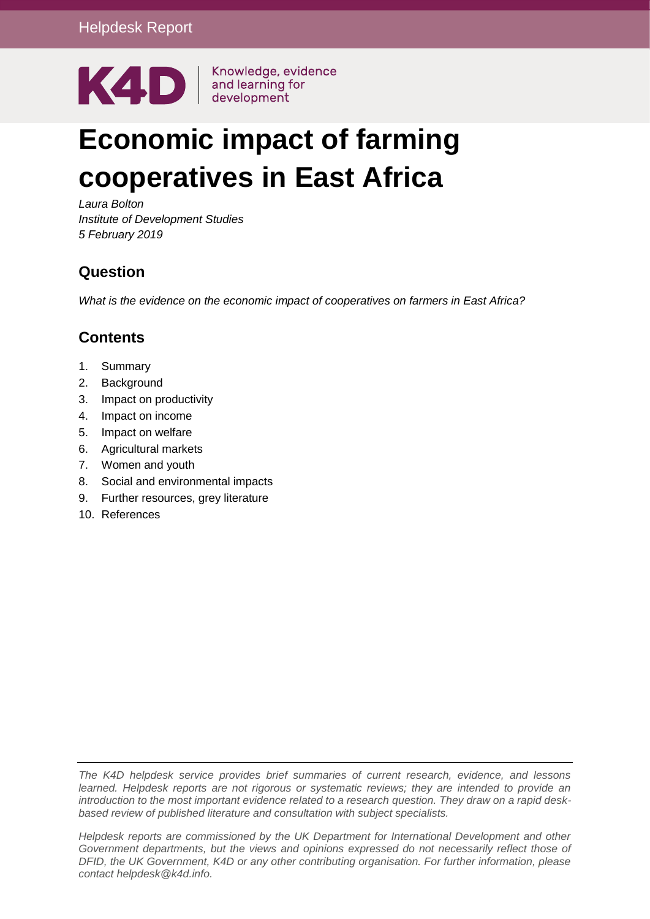

# **Economic impact of farming cooperatives in East Africa**

*Laura Bolton Institute of Development Studies 5 February 2019*

#### **Question**

*What is the evidence on the economic impact of cooperatives on farmers in East Africa?* 

#### **Contents**

- 1. [Summary](#page-1-0)
- 2. [Background](#page-2-0)
- 3. [Impact on productivity](#page-3-0)
- 4. [Impact on income](#page-4-0)
- 5. [Impact on welfare](#page-5-0)
- 6. [Agricultural markets](#page-5-1)
- 7. [Women and youth](#page-5-2)
- 8. [Social and environmental impacts](#page-6-0)
- 9. [Further resources, grey literature](#page-6-1)
- 10. [References](#page-8-0)

*The K4D helpdesk service provides brief summaries of current research, evidence, and lessons learned. Helpdesk reports are not rigorous or systematic reviews; they are intended to provide an introduction to the most important evidence related to a research question. They draw on a rapid deskbased review of published literature and consultation with subject specialists.* 

*Helpdesk reports are commissioned by the UK Department for International Development and other Government departments, but the views and opinions expressed do not necessarily reflect those of DFID, the UK Government, K4D or any other contributing organisation. For further information, please contact helpdesk@k4d.info.*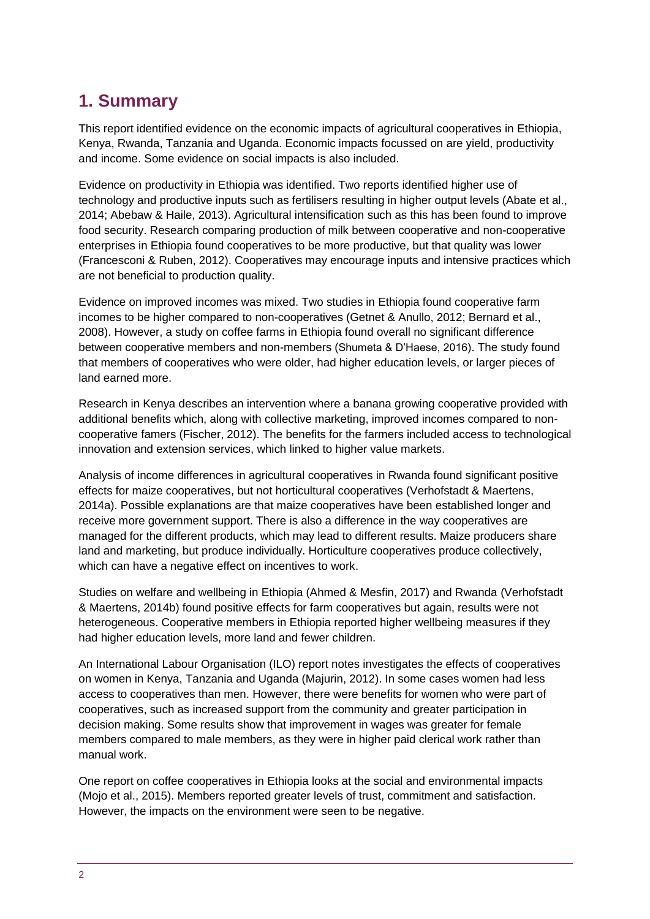# <span id="page-1-0"></span>**1. Summary**

This report identified evidence on the economic impacts of agricultural cooperatives in Ethiopia, Kenya, Rwanda, Tanzania and Uganda. Economic impacts focussed on are yield, productivity and income. Some evidence on social impacts is also included.

Evidence on productivity in Ethiopia was identified. Two reports identified higher use of technology and productive inputs such as fertilisers resulting in higher output levels (Abate et al., 2014; Abebaw & Haile, 2013). Agricultural intensification such as this has been found to improve food security. Research comparing production of milk between cooperative and non-cooperative enterprises in Ethiopia found cooperatives to be more productive, but that quality was lower (Francesconi & Ruben, 2012). Cooperatives may encourage inputs and intensive practices which are not beneficial to production quality.

Evidence on improved incomes was mixed. Two studies in Ethiopia found cooperative farm incomes to be higher compared to non-cooperatives (Getnet & Anullo, 2012; Bernard et al., 2008). However, a study on coffee farms in Ethiopia found overall no significant difference between cooperative members and non-members (Shumeta & D'Haese, 2016). The study found that members of cooperatives who were older, had higher education levels, or larger pieces of land earned more.

Research in Kenya describes an intervention where a banana growing cooperative provided with additional benefits which, along with collective marketing, improved incomes compared to noncooperative famers (Fischer, 2012). The benefits for the farmers included access to technological innovation and extension services, which linked to higher value markets.

Analysis of income differences in agricultural cooperatives in Rwanda found significant positive effects for maize cooperatives, but not horticultural cooperatives (Verhofstadt & Maertens, 2014a). Possible explanations are that maize cooperatives have been established longer and receive more government support. There is also a difference in the way cooperatives are managed for the different products, which may lead to different results. Maize producers share land and marketing, but produce individually. Horticulture cooperatives produce collectively, which can have a negative effect on incentives to work.

Studies on welfare and wellbeing in Ethiopia (Ahmed & Mesfin, 2017) and Rwanda (Verhofstadt & Maertens, 2014b) found positive effects for farm cooperatives but again, results were not heterogeneous. Cooperative members in Ethiopia reported higher wellbeing measures if they had higher education levels, more land and fewer children.

An International Labour Organisation (ILO) report notes investigates the effects of cooperatives on women in Kenya, Tanzania and Uganda (Majurin, 2012). In some cases women had less access to cooperatives than men. However, there were benefits for women who were part of cooperatives, such as increased support from the community and greater participation in decision making. Some results show that improvement in wages was greater for female members compared to male members, as they were in higher paid clerical work rather than manual work.

One report on coffee cooperatives in Ethiopia looks at the social and environmental impacts (Mojo et al., 2015). Members reported greater levels of trust, commitment and satisfaction. However, the impacts on the environment were seen to be negative.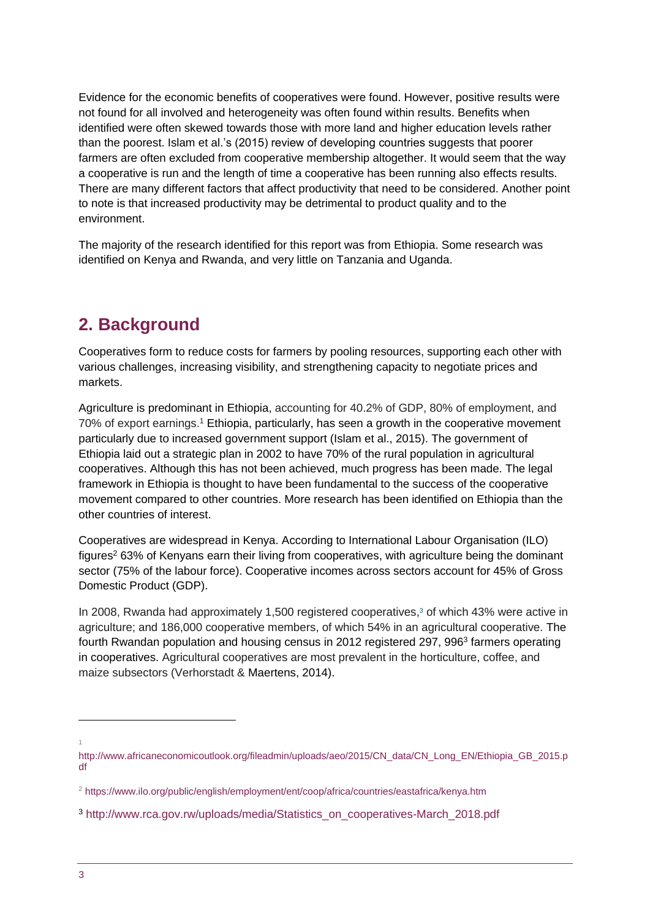Evidence for the economic benefits of cooperatives were found. However, positive results were not found for all involved and heterogeneity was often found within results. Benefits when identified were often skewed towards those with more land and higher education levels rather than the poorest. Islam et al.'s (2015) review of developing countries suggests that poorer farmers are often excluded from cooperative membership altogether. It would seem that the way a cooperative is run and the length of time a cooperative has been running also effects results. There are many different factors that affect productivity that need to be considered. Another point to note is that increased productivity may be detrimental to product quality and to the environment.

The majority of the research identified for this report was from Ethiopia. Some research was identified on Kenya and Rwanda, and very little on Tanzania and Uganda.

### <span id="page-2-0"></span>**2. Background**

Cooperatives form to reduce costs for farmers by pooling resources, supporting each other with various challenges, increasing visibility, and strengthening capacity to negotiate prices and markets.

Agriculture is predominant in Ethiopia, accounting for 40.2% of GDP, 80% of employment, and 70% of export earnings.<sup>1</sup> Ethiopia, particularly, has seen a growth in the cooperative movement particularly due to increased government support (Islam et al., 2015). The government of Ethiopia laid out a strategic plan in 2002 to have 70% of the rural population in agricultural cooperatives. Although this has not been achieved, much progress has been made. The legal framework in Ethiopia is thought to have been fundamental to the success of the cooperative movement compared to other countries. More research has been identified on Ethiopia than the other countries of interest.

Cooperatives are widespread in Kenya. According to International Labour Organisation (ILO) figures $2$  63% of Kenyans earn their living from cooperatives, with agriculture being the dominant sector (75% of the labour force). Cooperative incomes across sectors account for 45% of Gross Domestic Product (GDP).

In 2008, Rwanda had approximately 1,500 registered cooperatives[,](https://onlinelibrary-wiley-com.ezproxy.sussex.ac.uk/doi/full/10.1111/agec.12128#true) <sup>3</sup> of which 43% were active in agriculture; and 186,000 cooperative members, of which 54% in an agricultural cooperative. The fourth Rwandan population and housing census in 2012 registered 297, 996<sup>3</sup> farmers operating in cooperatives. Agricultural cooperatives are most prevalent in the horticulture, coffee, and maize subsectors (Verhorstadt & Maertens, 2014).

1

1

[http://www.africaneconomicoutlook.org/fileadmin/uploads/aeo/2015/CN\\_data/CN\\_Long\\_EN/Ethiopia\\_GB\\_2015.p](http://www.africaneconomicoutlook.org/fileadmin/uploads/aeo/2015/CN_data/CN_Long_EN/Ethiopia_GB_2015.pdf) [df](http://www.africaneconomicoutlook.org/fileadmin/uploads/aeo/2015/CN_data/CN_Long_EN/Ethiopia_GB_2015.pdf)

<sup>2</sup> <https://www.ilo.org/public/english/employment/ent/coop/africa/countries/eastafrica/kenya.htm>

<sup>3</sup> [http://www.rca.gov.rw/uploads/media/Statistics\\_on\\_cooperatives-March\\_2018.pdf](http://www.rca.gov.rw/uploads/media/Statistics_on_cooperatives-March_2018.pdf)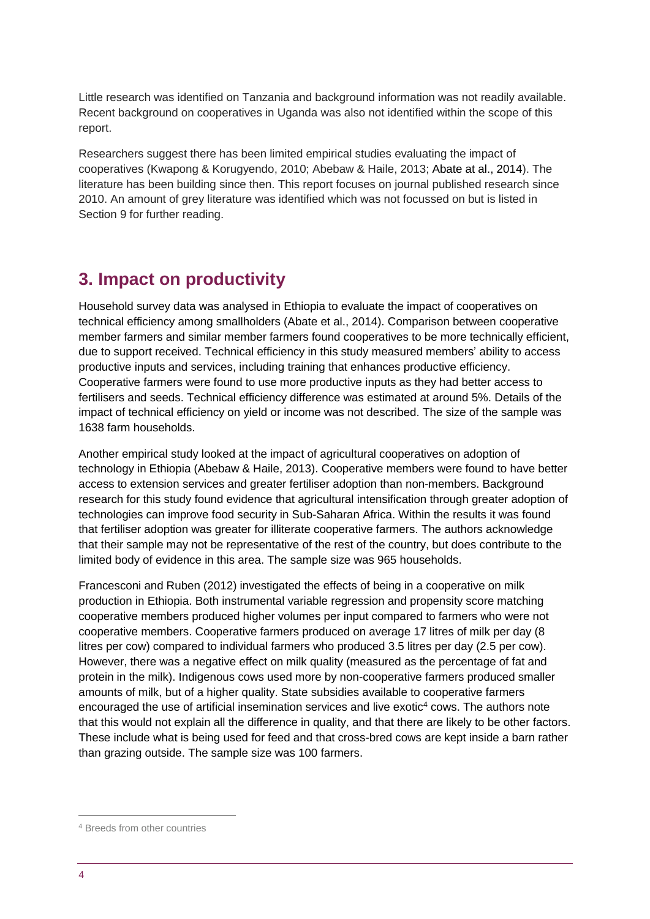Little research was identified on Tanzania and background information was not readily available. Recent background on cooperatives in Uganda was also not identified within the scope of this report.

Researchers suggest there has been limited empirical studies evaluating the impact of cooperatives (Kwapong & Korugyendo, 2010; Abebaw & Haile, 2013; Abate at al., 2014). The literature has been building since then. This report focuses on journal published research since 2010. An amount of grey literature was identified which was not focussed on but is listed in Section 9 for further reading.

### <span id="page-3-0"></span>**3. Impact on productivity**

Household survey data was analysed in Ethiopia to evaluate the impact of cooperatives on technical efficiency among smallholders (Abate et al., 2014). Comparison between cooperative member farmers and similar member farmers found cooperatives to be more technically efficient, due to support received. Technical efficiency in this study measured members' ability to access productive inputs and services, including training that enhances productive efficiency. Cooperative farmers were found to use more productive inputs as they had better access to fertilisers and seeds. Technical efficiency difference was estimated at around 5%. Details of the impact of technical efficiency on yield or income was not described. The size of the sample was 1638 farm households.

Another empirical study looked at the impact of agricultural cooperatives on adoption of technology in Ethiopia (Abebaw & Haile, 2013). Cooperative members were found to have better access to extension services and greater fertiliser adoption than non-members. Background research for this study found evidence that [agricultural](https://www.sciencedirect.com/science/article/pii/S0306919212001030) intensification through greater adoption of technologies can improve food security in Sub-Saharan Africa. Within the results it was found that fertiliser adoption was greater for illiterate cooperative farmers. The authors acknowledge that their sample may not be representative of the rest of the country, but does contribute to the limited body of evidence in this area. The sample size was 965 households.

Francesconi and Ruben (2012) investigated the effects of being in a cooperative on milk production in Ethiopia. Both instrumental variable regression and propensity score matching cooperative members produced higher volumes per input compared to farmers who were not cooperative members. Cooperative farmers produced on average 17 litres of milk per day (8 litres per cow) compared to individual farmers who produced 3.5 litres per day (2.5 per cow). However, there was a negative effect on milk quality (measured as the percentage of fat and protein in the milk). Indigenous cows used more by non-cooperative farmers produced smaller amounts of milk, but of a higher quality. State subsidies available to cooperative farmers encouraged the use of artificial insemination services and live exotic<sup>4</sup> cows. The authors note that this would not explain all the difference in quality, and that there are likely to be other factors. These include what is being used for feed and that cross-bred cows are kept inside a barn rather than grazing outside. The sample size was 100 farmers.

1

<sup>4</sup> Breeds from other countries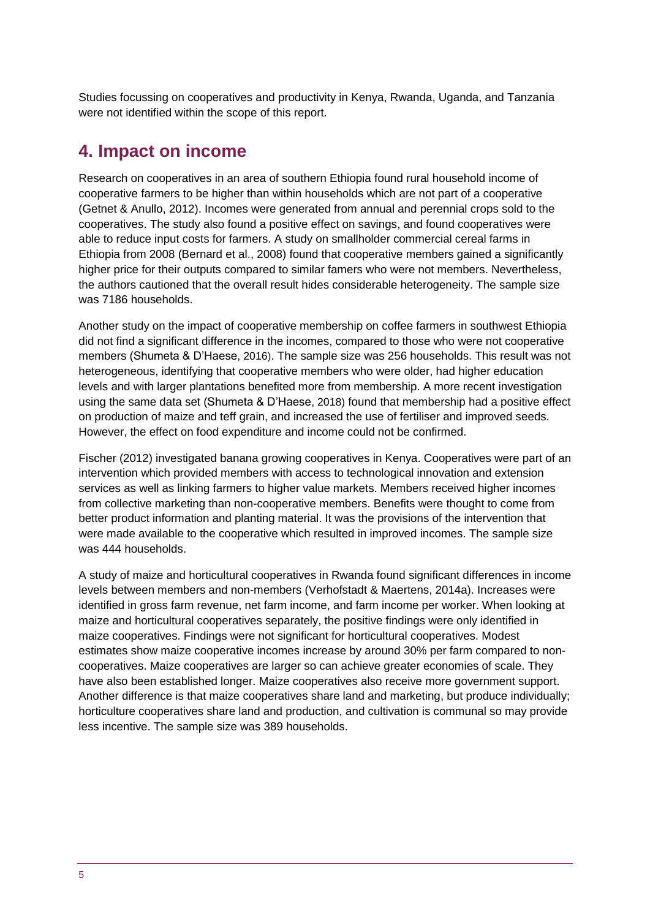Studies focussing on cooperatives and productivity in Kenya, Rwanda, Uganda, and Tanzania were not identified within the scope of this report.

### <span id="page-4-0"></span>**4. Impact on income**

Research on cooperatives in an area of southern Ethiopia found rural household income of cooperative farmers to be higher than within households which are not part of a cooperative (Getnet & Anullo, 2012). Incomes were generated from annual and perennial crops sold to the cooperatives. The study also found a positive effect on savings, and found cooperatives were able to reduce input costs for farmers. A study on smallholder commercial cereal farms in Ethiopia from 2008 (Bernard et al., 2008) found that cooperative members gained a significantly higher price for their outputs compared to similar famers who were not members. Nevertheless, the authors cautioned that the overall result hides considerable heterogeneity. The sample size was 7186 households.

Another study on the impact of cooperative membership on coffee farmers in southwest Ethiopia did not find a significant difference in the incomes, compared to those who were not cooperative members (Shumeta & D'Haese, 2016). The sample size was 256 households. This result was not heterogeneous, identifying that cooperative members who were older, had higher education levels and with larger plantations benefited more from membership. A more recent investigation using the same data set (Shumeta & D'Haese, 2018) found that membership had a positive effect on production of maize and teff grain, and increased the use of fertiliser and improved seeds. However, the effect on food expenditure and income could not be confirmed.

Fischer (2012) investigated banana growing cooperatives in Kenya. Cooperatives were part of an intervention which provided members with access to technological innovation and extension services as well as linking farmers to higher value markets. Members received higher incomes from collective marketing than non-cooperative members. Benefits were thought to come from better product information and planting material. It was the provisions of the intervention that were made available to the cooperative which resulted in improved incomes. The sample size was 444 households.

A study of maize and horticultural cooperatives in Rwanda found significant differences in income levels between members and non-members (Verhofstadt & Maertens, 2014a). Increases were identified in gross farm revenue, net farm income, and farm income per worker. When looking at maize and horticultural cooperatives separately, the positive findings were only identified in maize cooperatives. Findings were not significant for horticultural cooperatives. Modest estimates show maize cooperative incomes increase by around 30% per farm compared to noncooperatives. Maize cooperatives are larger so can achieve greater economies of scale. They have also been established longer. Maize cooperatives also receive more government support. Another difference is that maize cooperatives share land and marketing, but produce individually; horticulture cooperatives share land and production, and cultivation is communal so may provide less incentive. The sample size was 389 households.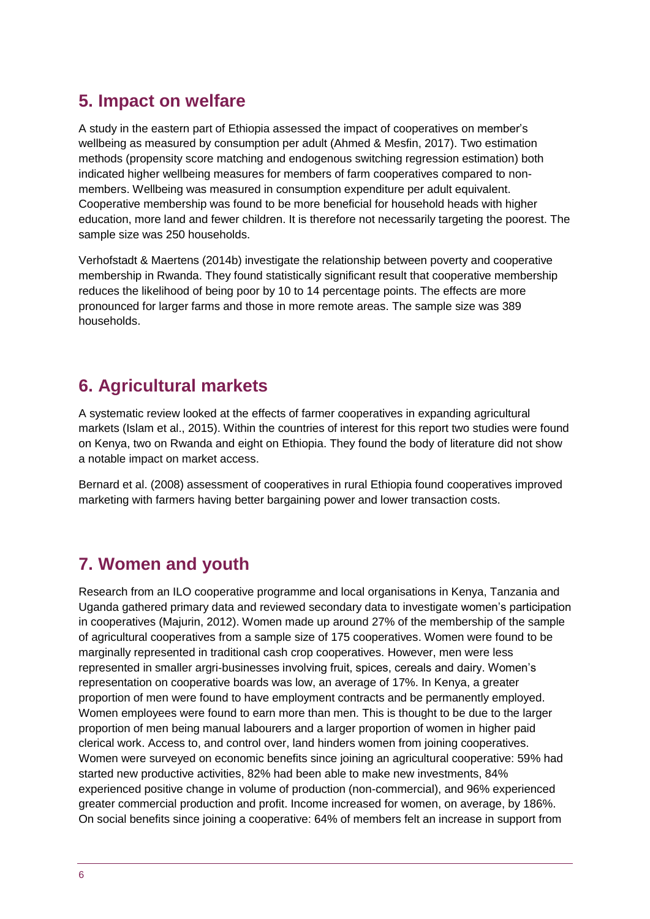## <span id="page-5-0"></span>**5. Impact on welfare**

A study in the eastern part of Ethiopia assessed the impact of cooperatives on member's wellbeing as measured by consumption per adult (Ahmed & Mesfin, 2017). Two estimation methods (propensity score matching and endogenous switching regression estimation) both indicated higher wellbeing measures for members of farm cooperatives compared to nonmembers. Wellbeing was measured in consumption expenditure per adult equivalent. Cooperative membership was found to be more beneficial for household heads with higher education, more land and fewer children. It is therefore not necessarily targeting the poorest. The sample size was 250 households.

Verhofstadt & Maertens (2014b) investigate the relationship between poverty and cooperative membership in Rwanda. They found statistically significant result that cooperative membership reduces the likelihood of being poor by 10 to 14 percentage points. The effects are more pronounced for larger farms and those in more remote areas. The sample size was 389 households.

# <span id="page-5-1"></span>**6. Agricultural markets**

A systematic review looked at the effects of farmer cooperatives in expanding agricultural markets (Islam et al., 2015). Within the countries of interest for this report two studies were found on Kenya, two on Rwanda and eight on Ethiopia. They found the body of literature did not show a notable impact on market access.

Bernard et al. (2008) assessment of cooperatives in rural Ethiopia found cooperatives improved marketing with farmers having better bargaining power and lower transaction costs.

## <span id="page-5-2"></span>**7. Women and youth**

Research from an ILO cooperative programme and local organisations in Kenya, Tanzania and Uganda gathered primary data and reviewed secondary data to investigate women's participation in cooperatives (Majurin, 2012). Women made up around 27% of the membership of the sample of agricultural cooperatives from a sample size of 175 cooperatives. Women were found to be marginally represented in traditional cash crop cooperatives. However, men were less represented in smaller argri-businesses involving fruit, spices, cereals and dairy. Women's representation on cooperative boards was low, an average of 17%. In Kenya, a greater proportion of men were found to have employment contracts and be permanently employed. Women employees were found to earn more than men. This is thought to be due to the larger proportion of men being manual labourers and a larger proportion of women in higher paid clerical work. Access to, and control over, land hinders women from joining cooperatives. Women were surveyed on economic benefits since joining an agricultural cooperative: 59% had started new productive activities, 82% had been able to make new investments, 84% experienced positive change in volume of production (non-commercial), and 96% experienced greater commercial production and profit. Income increased for women, on average, by 186%. On social benefits since joining a cooperative: 64% of members felt an increase in support from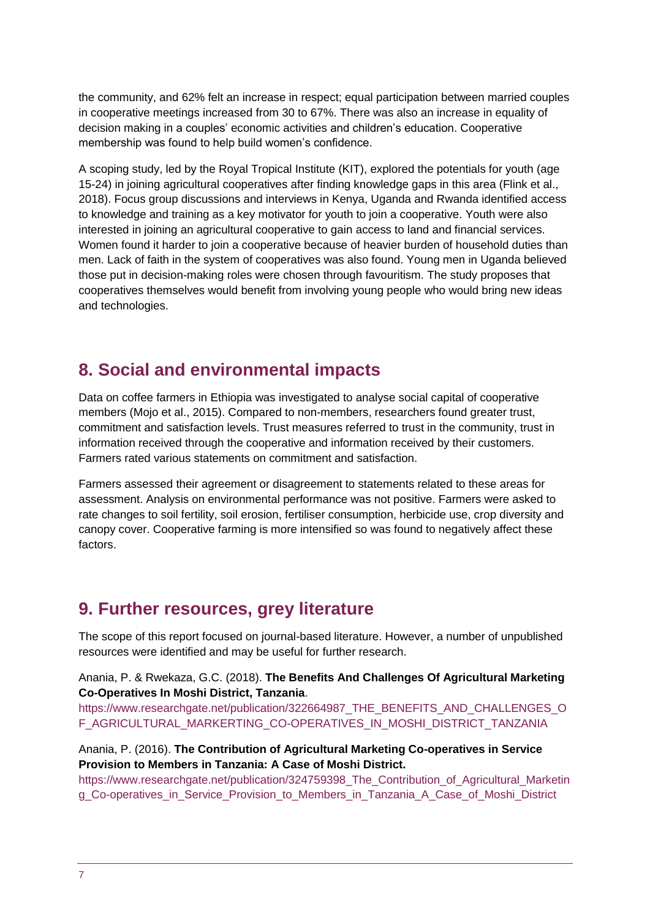the community, and 62% felt an increase in respect; equal participation between married couples in cooperative meetings increased from 30 to 67%. There was also an increase in equality of decision making in a couples' economic activities and children's education. Cooperative membership was found to help build women's confidence.

A scoping study, led by the Royal Tropical Institute (KIT), explored the potentials for youth (age 15-24) in joining agricultural cooperatives after finding knowledge gaps in this area (Flink et al., 2018). Focus group discussions and interviews in Kenya, Uganda and Rwanda identified access to knowledge and training as a key motivator for youth to join a cooperative. Youth were also interested in joining an agricultural cooperative to gain access to land and financial services. Women found it harder to join a cooperative because of heavier burden of household duties than men. Lack of faith in the system of cooperatives was also found. Young men in Uganda believed those put in decision-making roles were chosen through favouritism. The study proposes that cooperatives themselves would benefit from involving young people who would bring new ideas and technologies.

## <span id="page-6-0"></span>**8. Social and environmental impacts**

Data on coffee farmers in Ethiopia was investigated to analyse social capital of cooperative members (Mojo et al., 2015). Compared to non-members, researchers found greater trust, commitment and satisfaction levels. Trust measures referred to trust in the community, trust in information received through the cooperative and information received by their customers. Farmers rated various statements on commitment and satisfaction.

Farmers assessed their agreement or disagreement to statements related to these areas for assessment. Analysis on environmental performance was not positive. Farmers were asked to rate changes to soil fertility, soil erosion, fertiliser consumption, herbicide use, crop diversity and canopy cover. Cooperative farming is more intensified so was found to negatively affect these factors.

#### <span id="page-6-1"></span>**9. Further resources, grey literature**

The scope of this report focused on journal-based literature. However, a number of unpublished resources were identified and may be useful for further research.

Anania, P. & Rwekaza, G.C. (2018). **The Benefits And Challenges Of Agricultural Marketing Co-Operatives In Moshi District, Tanzania**.

[https://www.researchgate.net/publication/322664987\\_THE\\_BENEFITS\\_AND\\_CHALLENGES\\_O](https://www.researchgate.net/publication/322664987_THE_BENEFITS_AND_CHALLENGES_OF_AGRICULTURAL_MARKERTING_CO-OPERATIVES_IN_MOSHI_DISTRICT_TANZANIA) [F\\_AGRICULTURAL\\_MARKERTING\\_CO-OPERATIVES\\_IN\\_MOSHI\\_DISTRICT\\_TANZANIA](https://www.researchgate.net/publication/322664987_THE_BENEFITS_AND_CHALLENGES_OF_AGRICULTURAL_MARKERTING_CO-OPERATIVES_IN_MOSHI_DISTRICT_TANZANIA)

#### Anania, P. (2016). **The Contribution of Agricultural Marketing Co-operatives in Service Provision to Members in Tanzania: A Case of Moshi District.**

https://www.researchgate.net/publication/324759398 The Contribution of Agricultural Marketin [g\\_Co-operatives\\_in\\_Service\\_Provision\\_to\\_Members\\_in\\_Tanzania\\_A\\_Case\\_of\\_Moshi\\_District](https://www.researchgate.net/publication/324759398_The_Contribution_of_Agricultural_Marketing_Co-operatives_in_Service_Provision_to_Members_in_Tanzania_A_Case_of_Moshi_District)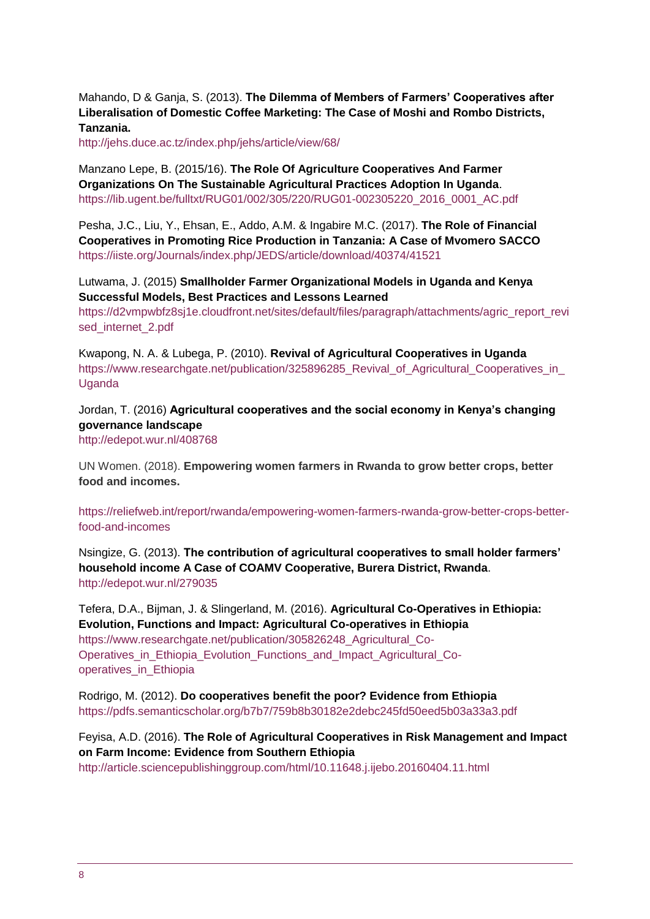Mahando, D & Ganja, S. (2013). **The Dilemma of Members of Farmers' Cooperatives after Liberalisation of Domestic Coffee Marketing: The Case of Moshi and Rombo Districts, Tanzania.** 

<http://jehs.duce.ac.tz/index.php/jehs/article/view/68/>

Manzano Lepe, B. (2015/16). **The Role Of Agriculture Cooperatives And Farmer Organizations On The Sustainable Agricultural Practices Adoption In Uganda**. [https://lib.ugent.be/fulltxt/RUG01/002/305/220/RUG01-002305220\\_2016\\_0001\\_AC.pdf](https://lib.ugent.be/fulltxt/RUG01/002/305/220/RUG01-002305220_2016_0001_AC.pdf)

Pesha, J.C., Liu, Y., Ehsan, E., Addo, A.M. & Ingabire M.C. (2017). **The Role of Financial Cooperatives in Promoting Rice Production in Tanzania: A Case of Mvomero SACCO** <https://iiste.org/Journals/index.php/JEDS/article/download/40374/41521>

#### Lutwama, J. (2015) **Smallholder Farmer Organizational Models in Uganda and Kenya Successful Models, Best Practices and Lessons Learned**

https://d2vmpwbfz8si1e.cloudfront.net/sites/default/files/paragraph/attachments/agric\_report\_revi [sed\\_internet\\_2.pdf](https://d2vmpwbfz8sj1e.cloudfront.net/sites/default/files/paragraph/attachments/agric_report_revised_internet_2.pdf)

Kwapong, N. A. & Lubega, P. (2010). **Revival of Agricultural Cooperatives in Uganda** https://www.researchgate.net/publication/325896285\_Revival\_of\_Agricultural\_Cooperatives\_in [Uganda](https://www.researchgate.net/publication/325896285_Revival_of_Agricultural_Cooperatives_in_Uganda)

#### Jordan, T. (2016) **Agricultural cooperatives and the social economy in Kenya's changing governance landscape**

<http://edepot.wur.nl/408768>

UN Women. (2018). **Empowering women farmers in Rwanda to grow better crops, better food and incomes.** 

[https://reliefweb.int/report/rwanda/empowering-women-farmers-rwanda-grow-better-crops-better](https://reliefweb.int/report/rwanda/empowering-women-farmers-rwanda-grow-better-crops-better-food-and-incomes)[food-and-incomes](https://reliefweb.int/report/rwanda/empowering-women-farmers-rwanda-grow-better-crops-better-food-and-incomes)

Nsingize, G. (2013). **The contribution of agricultural cooperatives to small holder farmers' household income A Case of COAMV Cooperative, Burera District, Rwanda**. <http://edepot.wur.nl/279035>

Tefera, D.A., Bijman, J. & Slingerland, M. (2016). **Agricultural Co-Operatives in Ethiopia: Evolution, Functions and Impact: Agricultural Co-operatives in Ethiopia** [https://www.researchgate.net/publication/305826248\\_Agricultural\\_Co-](https://www.researchgate.net/publication/305826248_Agricultural_Co-Operatives_in_Ethiopia_Evolution_Functions_and_Impact_Agricultural_Co-operatives_in_Ethiopia)Operatives in Ethiopia Evolution Functions and Impact Agricultural Cooperatives in Ethiopia

Rodrigo, M. (2012). **Do cooperatives benefit the poor? Evidence from Ethiopia** <https://pdfs.semanticscholar.org/b7b7/759b8b30182e2debc245fd50eed5b03a33a3.pdf>

Feyisa, A.D. (2016). **The Role of Agricultural Cooperatives in Risk Management and Impact on Farm Income: Evidence from Southern Ethiopia** <http://article.sciencepublishinggroup.com/html/10.11648.j.ijebo.20160404.11.html>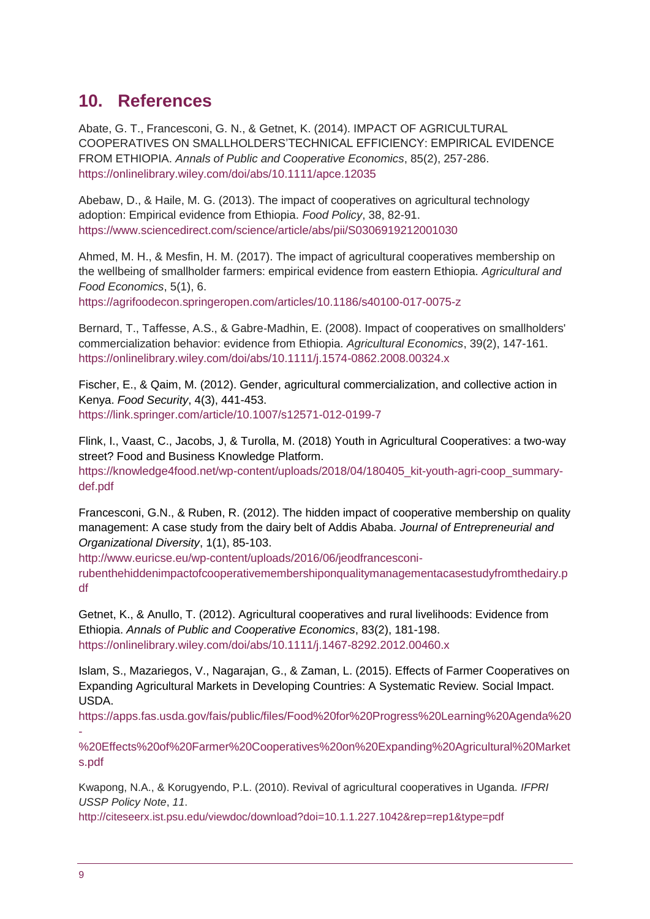### <span id="page-8-0"></span>**10. References**

Abate, G. T., Francesconi, G. N., & Getnet, K. (2014). IMPACT OF AGRICULTURAL COOPERATIVES ON SMALLHOLDERS'TECHNICAL EFFICIENCY: EMPIRICAL EVIDENCE FROM ETHIOPIA. *Annals of Public and Cooperative Economics*, 85(2), 257-286. <https://onlinelibrary.wiley.com/doi/abs/10.1111/apce.12035>

Abebaw, D., & Haile, M. G. (2013). The impact of cooperatives on agricultural technology adoption: Empirical evidence from Ethiopia. *Food Policy*, 38, 82-91. <https://www.sciencedirect.com/science/article/abs/pii/S0306919212001030>

Ahmed, M. H., & Mesfin, H. M. (2017). The impact of agricultural cooperatives membership on the wellbeing of smallholder farmers: empirical evidence from eastern Ethiopia. *Agricultural and Food Economics*, 5(1), 6.

<https://agrifoodecon.springeropen.com/articles/10.1186/s40100-017-0075-z>

Bernard, T., Taffesse, A.S., & Gabre‐Madhin, E. (2008). Impact of cooperatives on smallholders' commercialization behavior: evidence from Ethiopia. *Agricultural Economics*, 39(2), 147-161. <https://onlinelibrary.wiley.com/doi/abs/10.1111/j.1574-0862.2008.00324.x>

Fischer, E., & Qaim, M. (2012). Gender, agricultural commercialization, and collective action in Kenya. *Food Security*, 4(3), 441-453. <https://link.springer.com/article/10.1007/s12571-012-0199-7>

Flink, I., Vaast, C., Jacobs, J, & Turolla, M. (2018) Youth in Agricultural Cooperatives: a two-way street? Food and Business Knowledge Platform. [https://knowledge4food.net/wp-content/uploads/2018/04/180405\\_kit-youth-agri-coop\\_summary](https://knowledge4food.net/wp-content/uploads/2018/04/180405_kit-youth-agri-coop_summary-def.pdf)[def.pdf](https://knowledge4food.net/wp-content/uploads/2018/04/180405_kit-youth-agri-coop_summary-def.pdf)

Francesconi, G.N., & Ruben, R. (2012). The hidden impact of cooperative membership on quality management: A case study from the dairy belt of Addis Ababa. *Journal of Entrepreneurial and Organizational Diversity*, 1(1), 85-103.

[http://www.euricse.eu/wp-content/uploads/2016/06/jeodfrancesconi-](http://www.euricse.eu/wp-content/uploads/2016/06/jeodfrancesconi-rubenthehiddenimpactofcooperativemembershiponqualitymanagementacasestudyfromthedairy.pdf)

[rubenthehiddenimpactofcooperativemembershiponqualitymanagementacasestudyfromthedairy.p](http://www.euricse.eu/wp-content/uploads/2016/06/jeodfrancesconi-rubenthehiddenimpactofcooperativemembershiponqualitymanagementacasestudyfromthedairy.pdf) [df](http://www.euricse.eu/wp-content/uploads/2016/06/jeodfrancesconi-rubenthehiddenimpactofcooperativemembershiponqualitymanagementacasestudyfromthedairy.pdf)

Getnet, K., & Anullo, T. (2012). Agricultural cooperatives and rural livelihoods: Evidence from Ethiopia. *Annals of Public and Cooperative Economics*, 83(2), 181-198. <https://onlinelibrary.wiley.com/doi/abs/10.1111/j.1467-8292.2012.00460.x>

Islam, S., Mazariegos, V., Nagarajan, G., & Zaman, L. (2015). Effects of Farmer Cooperatives on Expanding Agricultural Markets in Developing Countries: A Systematic Review. Social Impact. USDA.

[https://apps.fas.usda.gov/fais/public/files/Food%20for%20Progress%20Learning%20Agenda%20](https://apps.fas.usda.gov/fais/public/files/Food%20for%20Progress%20Learning%20Agenda%20-%20Effects%20of%20Farmer%20Cooperatives%20on%20Expanding%20Agricultural%20Markets.pdf) [-](https://apps.fas.usda.gov/fais/public/files/Food%20for%20Progress%20Learning%20Agenda%20-%20Effects%20of%20Farmer%20Cooperatives%20on%20Expanding%20Agricultural%20Markets.pdf)

[%20Effects%20of%20Farmer%20Cooperatives%20on%20Expanding%20Agricultural%20Market](https://apps.fas.usda.gov/fais/public/files/Food%20for%20Progress%20Learning%20Agenda%20-%20Effects%20of%20Farmer%20Cooperatives%20on%20Expanding%20Agricultural%20Markets.pdf) [s.pdf](https://apps.fas.usda.gov/fais/public/files/Food%20for%20Progress%20Learning%20Agenda%20-%20Effects%20of%20Farmer%20Cooperatives%20on%20Expanding%20Agricultural%20Markets.pdf) 

Kwapong, N.A., & Korugyendo, P.L. (2010). Revival of agricultural cooperatives in Uganda. *IFPRI USSP Policy Note*, *11*.

<http://citeseerx.ist.psu.edu/viewdoc/download?doi=10.1.1.227.1042&rep=rep1&type=pdf>